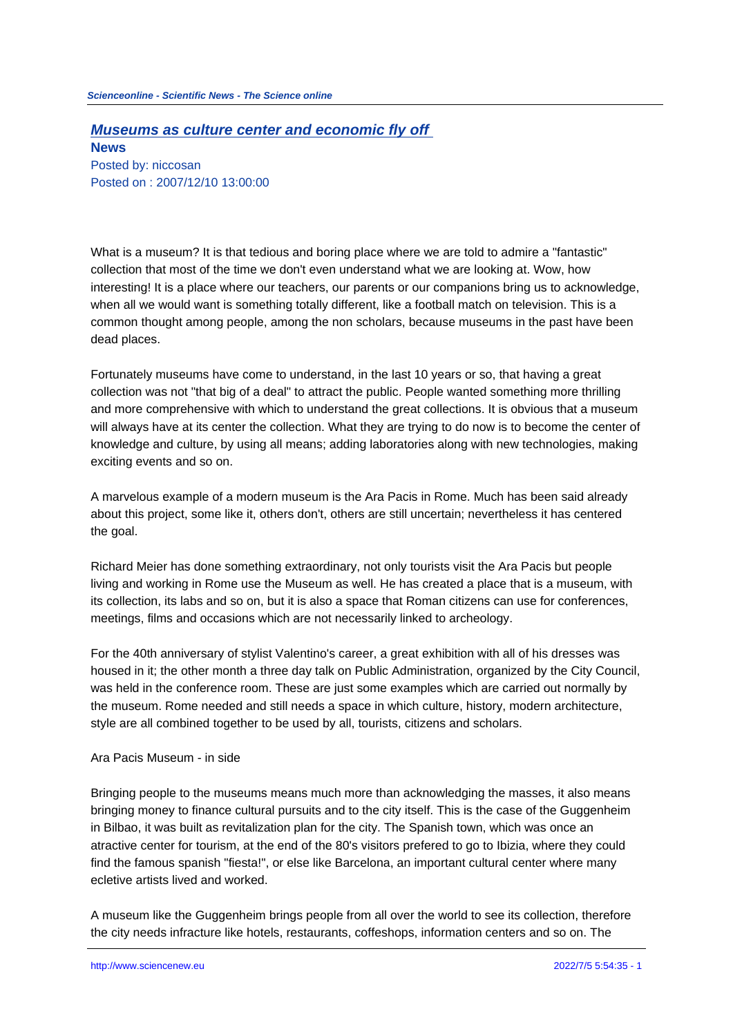## **Museums as culture center and economic fly off**

**News** Posted by: niccosan Posted on : 2007/12/10 13:00:00

What is a museum? It is that tedious and boring place where we are told to admire a "fantastic" collection that most of the time we don't even understand what we are looking at. Wow, how interesting! It is a place where our teachers, our parents or our companions bring us to acknowledge, when all we would want is something totally different, like a football match on television. This is a common thought among people, among the non scholars, because museums in the past have been dead places.

Fortunately museums have come to understand, in the last 10 years or so, that having a great collection was not "that big of a deal" to attract the public. People wanted something more thrilling and more comprehensive with which to understand the great collections. It is obvious that a museum will always have at its center the collection. What they are trying to do now is to become the center of knowledge and culture, by using all means; adding laboratories along with new technologies, making exciting events and so on.

A marvelous example of a modern museum is the Ara Pacis in Rome. Much has been said already about this project, some like it, others don't, others are still uncertain; nevertheless it has centered the goal.

Richard Meier has done something extraordinary, not only tourists visit the Ara Pacis but people living and working in Rome use the Museum as well. He has created a place that is a museum, with its collection, its labs and so on, but it is also a space that Roman citizens can use for conferences, meetings, films and occasions which are not necessarily linked to archeology.

For the 40th anniversary of stylist Valentino's career, a great exhibition with all of his dresses was housed in it; the other month a three day talk on Public Administration, organized by the City Council, was held in the conference room. These are just some examples which are carried out normally by the museum. Rome needed and still needs a space in which culture, history, modern architecture, style are all combined together to be used by all, tourists, citizens and scholars.

## Ara Pacis Museum - in side

Bringing people to the museums means much more than acknowledging the masses, it also means bringing money to finance cultural pursuits and to the city itself. This is the case of the Guggenheim in Bilbao, it was built as revitalization plan for the city. The Spanish town, which was once an atractive center for tourism, at the end of the 80's visitors prefered to go to Ibizia, where they could find the famous spanish "fiesta!", or else like Barcelona, an important cultural center where many ecletive artists lived and worked.

A museum like the Guggenheim brings people from all over the world to see its collection, therefore the city needs infracture like hotels, restaurants, coffeshops, information centers and so on. The